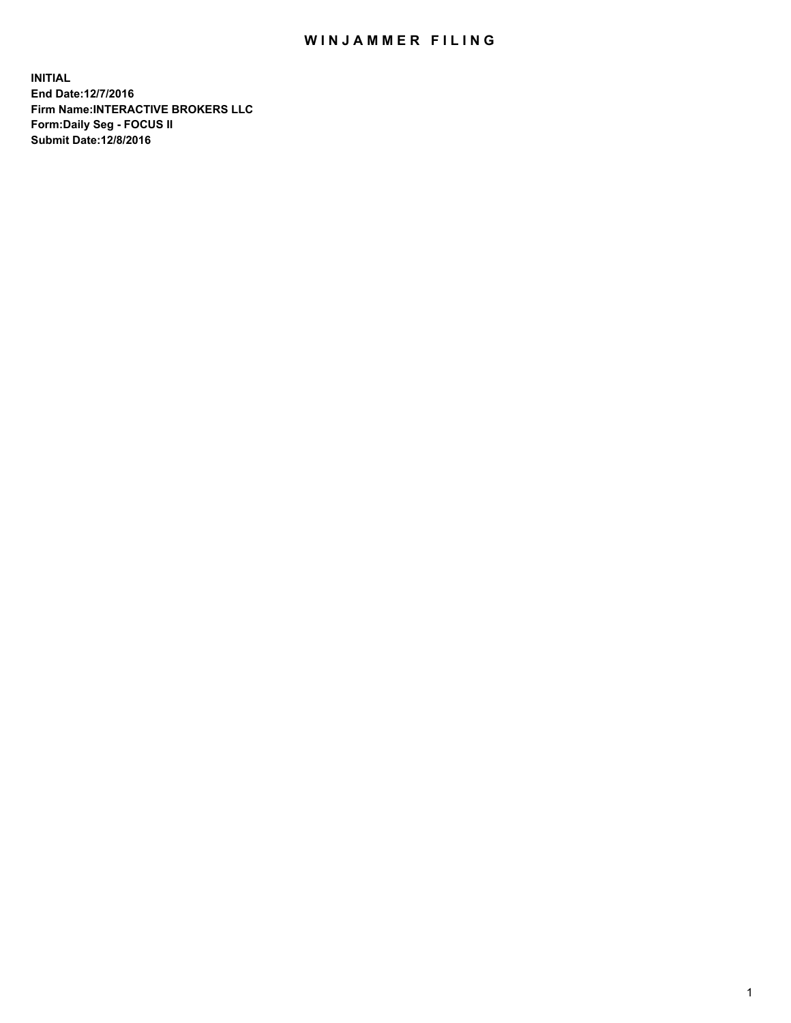## WIN JAMMER FILING

**INITIAL End Date:12/7/2016 Firm Name:INTERACTIVE BROKERS LLC Form:Daily Seg - FOCUS II Submit Date:12/8/2016**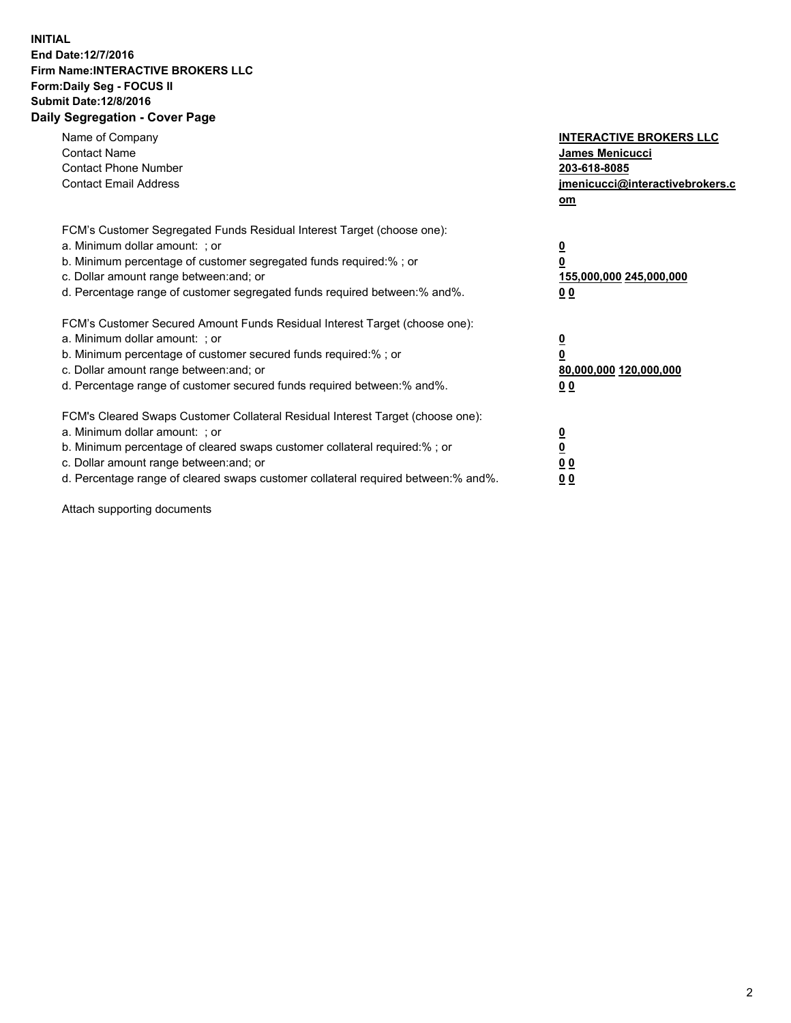## **INITIAL End Date:12/7/2016 Firm Name:INTERACTIVE BROKERS LLC Form:Daily Seg - FOCUS II Submit Date:12/8/2016 Daily Segregation - Cover Page**

| Name of Company<br><b>Contact Name</b><br><b>Contact Phone Number</b><br><b>Contact Email Address</b>                                                                                                                                                                                                                          | <b>INTERACTIVE BROKERS LLC</b><br>James Menicucci<br>203-618-8085<br>jmenicucci@interactivebrokers.c<br>om |
|--------------------------------------------------------------------------------------------------------------------------------------------------------------------------------------------------------------------------------------------------------------------------------------------------------------------------------|------------------------------------------------------------------------------------------------------------|
| FCM's Customer Segregated Funds Residual Interest Target (choose one):<br>a. Minimum dollar amount: ; or<br>b. Minimum percentage of customer segregated funds required:%; or<br>c. Dollar amount range between: and; or<br>d. Percentage range of customer segregated funds required between:% and%.                          | $\overline{\mathbf{0}}$<br>0<br>155,000,000 245,000,000<br>0 <sub>0</sub>                                  |
| FCM's Customer Secured Amount Funds Residual Interest Target (choose one):<br>a. Minimum dollar amount: ; or<br>b. Minimum percentage of customer secured funds required:%; or<br>c. Dollar amount range between: and; or<br>d. Percentage range of customer secured funds required between:% and%.                            | $\overline{\mathbf{0}}$<br>$\overline{\mathbf{0}}$<br>80,000,000 120,000,000<br>00                         |
| FCM's Cleared Swaps Customer Collateral Residual Interest Target (choose one):<br>a. Minimum dollar amount: ; or<br>b. Minimum percentage of cleared swaps customer collateral required:% ; or<br>c. Dollar amount range between: and; or<br>d. Percentage range of cleared swaps customer collateral required between:% and%. | $\overline{\mathbf{0}}$<br>$\overline{\mathbf{0}}$<br>0 <sub>0</sub><br><u>00</u>                          |

Attach supporting documents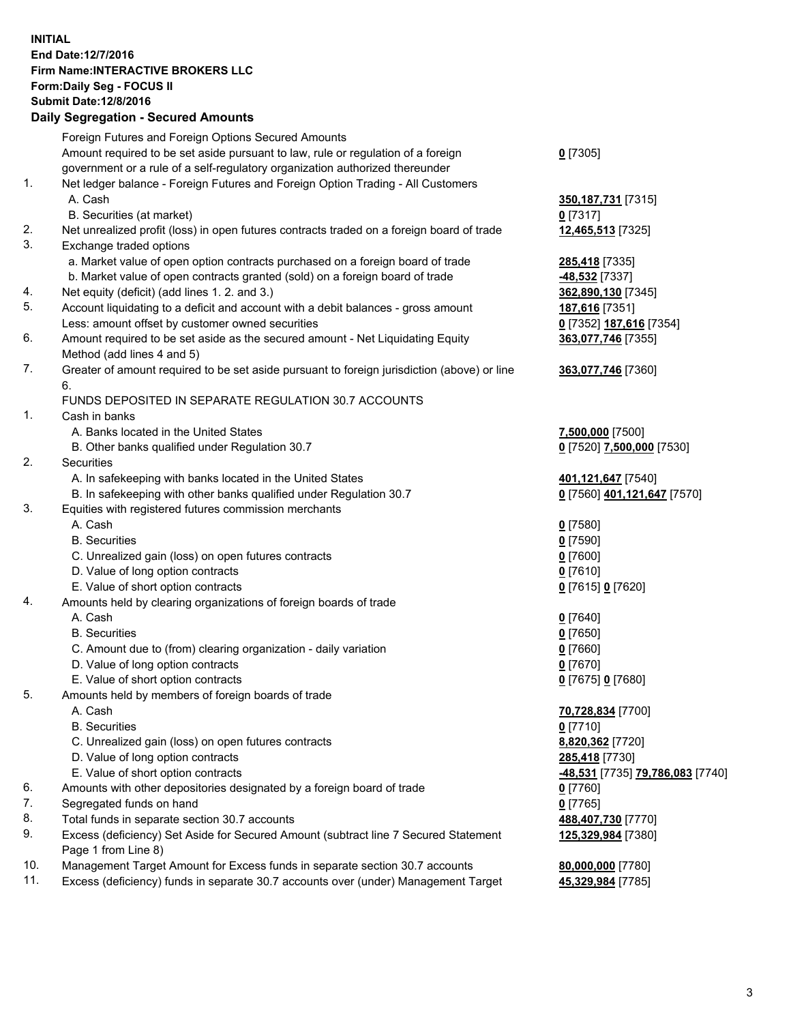## **INITIAL End Date:12/7/2016 Firm Name:INTERACTIVE BROKERS LLC Form:Daily Seg - FOCUS II Submit Date:12/8/2016 Daily Segregation - Secured Amounts**

|     | Dany Ocgregation - Oceanea Annoanta                                                         |                                  |
|-----|---------------------------------------------------------------------------------------------|----------------------------------|
|     | Foreign Futures and Foreign Options Secured Amounts                                         |                                  |
|     | Amount required to be set aside pursuant to law, rule or regulation of a foreign            | $0$ [7305]                       |
|     | government or a rule of a self-regulatory organization authorized thereunder                |                                  |
| 1.  | Net ledger balance - Foreign Futures and Foreign Option Trading - All Customers             |                                  |
|     | A. Cash                                                                                     | 350, 187, 731 [7315]             |
|     | B. Securities (at market)                                                                   | $0$ [7317]                       |
| 2.  | Net unrealized profit (loss) in open futures contracts traded on a foreign board of trade   | 12,465,513 [7325]                |
| 3.  | Exchange traded options                                                                     |                                  |
|     |                                                                                             |                                  |
|     | a. Market value of open option contracts purchased on a foreign board of trade              | 285,418 [7335]                   |
|     | b. Market value of open contracts granted (sold) on a foreign board of trade                | <u>-48,532</u> [7337]            |
| 4.  | Net equity (deficit) (add lines 1.2. and 3.)                                                | 362,890,130 [7345]               |
| 5.  | Account liquidating to a deficit and account with a debit balances - gross amount           | 187,616 [7351]                   |
|     | Less: amount offset by customer owned securities                                            | 0 [7352] 187,616 [7354]          |
| 6.  | Amount required to be set aside as the secured amount - Net Liquidating Equity              | 363,077,746 [7355]               |
|     | Method (add lines 4 and 5)                                                                  |                                  |
| 7.  | Greater of amount required to be set aside pursuant to foreign jurisdiction (above) or line | 363,077,746 [7360]               |
|     | 6.                                                                                          |                                  |
|     | FUNDS DEPOSITED IN SEPARATE REGULATION 30.7 ACCOUNTS                                        |                                  |
| 1.  | Cash in banks                                                                               |                                  |
|     | A. Banks located in the United States                                                       | 7,500,000 [7500]                 |
|     | B. Other banks qualified under Regulation 30.7                                              | 0 [7520] 7,500,000 [7530]        |
| 2.  | Securities                                                                                  |                                  |
|     | A. In safekeeping with banks located in the United States                                   | 401,121,647 [7540]               |
|     | B. In safekeeping with other banks qualified under Regulation 30.7                          | 0 [7560] 401,121,647 [7570]      |
| 3.  | Equities with registered futures commission merchants                                       |                                  |
|     | A. Cash                                                                                     | $0$ [7580]                       |
|     | <b>B.</b> Securities                                                                        | $0$ [7590]                       |
|     | C. Unrealized gain (loss) on open futures contracts                                         | $0$ [7600]                       |
|     | D. Value of long option contracts                                                           |                                  |
|     |                                                                                             | $0$ [7610]                       |
|     | E. Value of short option contracts                                                          | 0 [7615] 0 [7620]                |
| 4.  | Amounts held by clearing organizations of foreign boards of trade                           |                                  |
|     | A. Cash                                                                                     | $0$ [7640]                       |
|     | <b>B.</b> Securities                                                                        | $0$ [7650]                       |
|     | C. Amount due to (from) clearing organization - daily variation                             | $0$ [7660]                       |
|     | D. Value of long option contracts                                                           | $0$ [7670]                       |
|     | E. Value of short option contracts                                                          | 0 [7675] 0 [7680]                |
| 5.  | Amounts held by members of foreign boards of trade                                          |                                  |
|     | A. Cash                                                                                     | 70,728,834 [7700]                |
|     | <b>B.</b> Securities                                                                        | $0$ [7710]                       |
|     | C. Unrealized gain (loss) on open futures contracts                                         | 8,820,362 [7720]                 |
|     | D. Value of long option contracts                                                           | 285,418 [7730]                   |
|     | E. Value of short option contracts                                                          | -48,531 [7735] 79,786,083 [7740] |
| 6.  | Amounts with other depositories designated by a foreign board of trade                      | $0$ [7760]                       |
| 7.  | Segregated funds on hand                                                                    | $0$ [7765]                       |
| 8.  | Total funds in separate section 30.7 accounts                                               | 488,407,730 [7770]               |
| 9.  | Excess (deficiency) Set Aside for Secured Amount (subtract line 7 Secured Statement         | 125,329,984 [7380]               |
|     | Page 1 from Line 8)                                                                         |                                  |
| 10. | Management Target Amount for Excess funds in separate section 30.7 accounts                 | 80,000,000 [7780]                |
| 11. | Excess (deficiency) funds in separate 30.7 accounts over (under) Management Target          | 45,329,984 [7785]                |
|     |                                                                                             |                                  |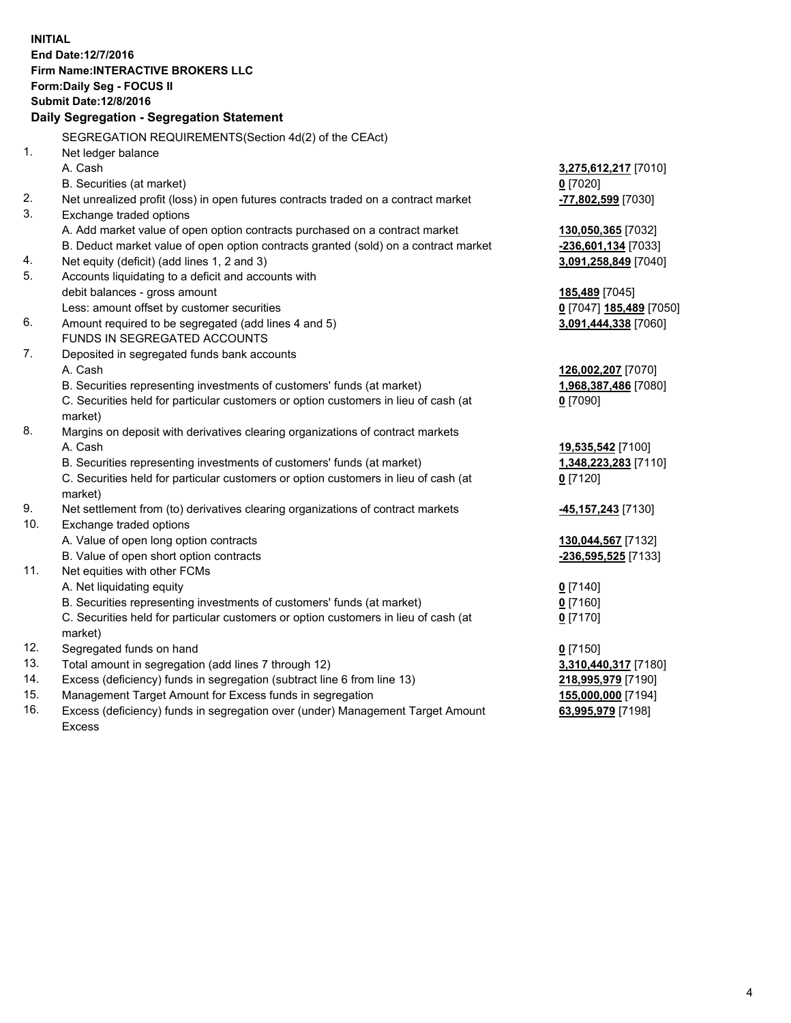**INITIAL End Date:12/7/2016 Firm Name:INTERACTIVE BROKERS LLC Form:Daily Seg - FOCUS II Submit Date:12/8/2016 Daily Segregation - Segregation Statement** SEGREGATION REQUIREMENTS(Section 4d(2) of the CEAct) 1. Net ledger balance A. Cash **3,275,612,217** [7010] B. Securities (at market) **0** [7020] 2. Net unrealized profit (loss) in open futures contracts traded on a contract market **-77,802,599** [7030] 3. Exchange traded options A. Add market value of open option contracts purchased on a contract market **130,050,365** [7032] B. Deduct market value of open option contracts granted (sold) on a contract market **-236,601,134** [7033] 4. Net equity (deficit) (add lines 1, 2 and 3) **3,091,258,849** [7040] 5. Accounts liquidating to a deficit and accounts with debit balances - gross amount **185,489** [7045] Less: amount offset by customer securities **0** [7047] **185,489** [7050] 6. Amount required to be segregated (add lines 4 and 5) **3,091,444,338** [7060] FUNDS IN SEGREGATED ACCOUNTS 7. Deposited in segregated funds bank accounts A. Cash **126,002,207** [7070] B. Securities representing investments of customers' funds (at market) **1,968,387,486** [7080] C. Securities held for particular customers or option customers in lieu of cash (at market) **0** [7090] 8. Margins on deposit with derivatives clearing organizations of contract markets A. Cash **19,535,542** [7100] B. Securities representing investments of customers' funds (at market) **1,348,223,283** [7110] C. Securities held for particular customers or option customers in lieu of cash (at market) **0** [7120] 9. Net settlement from (to) derivatives clearing organizations of contract markets **-45,157,243** [7130] 10. Exchange traded options A. Value of open long option contracts **130,044,567** [7132] B. Value of open short option contracts **-236,595,525** [7133] 11. Net equities with other FCMs A. Net liquidating equity **0** [7140] B. Securities representing investments of customers' funds (at market) **0** [7160] C. Securities held for particular customers or option customers in lieu of cash (at market) **0** [7170] 12. Segregated funds on hand **0** [7150] 13. Total amount in segregation (add lines 7 through 12) **3,310,440,317** [7180] 14. Excess (deficiency) funds in segregation (subtract line 6 from line 13) **218,995,979** [7190] 15. Management Target Amount for Excess funds in segregation **155,000,000** [7194] **63,995,979** [7198]

16. Excess (deficiency) funds in segregation over (under) Management Target Amount Excess